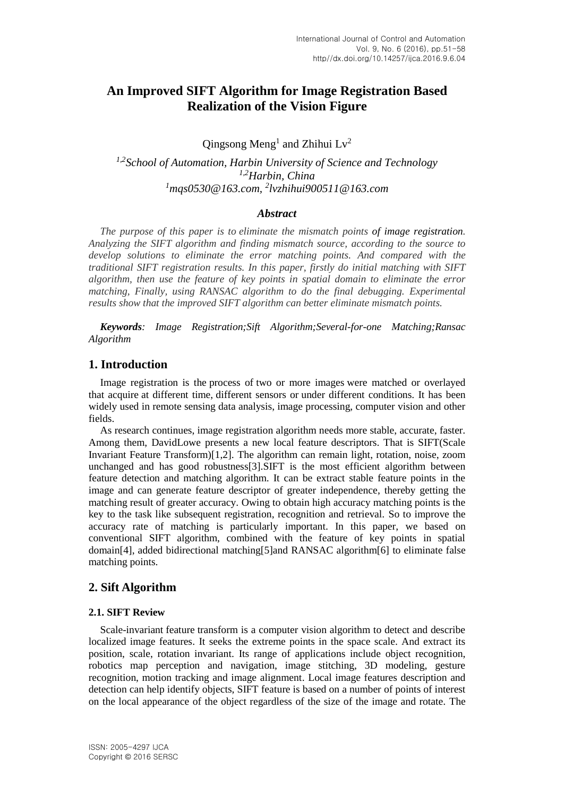# **An Improved SIFT Algorithm for Image Registration Based Realization of the Vision Figure**

Qingsong Meng<sup>1</sup> and Zhihui  $Lv^2$ 

*1,2School of Automation, Harbin University of Science and Technology 1,2Harbin, China <sup>1</sup>mqs0530@163.com, 2 lvzhihui900511@163.com*

## *Abstract*

*The purpose of this paper is to eliminate the mismatch points of image registration. Analyzing the SIFT algorithm and finding mismatch source, according to the source to develop solutions to eliminate the error matching points. And compared with the traditional SIFT registration results. In this paper, firstly do initial matching with SIFT algorithm, then use the feature of key points in spatial domain to eliminate the error matching, Finally, using RANSAC algorithm to do the final debugging. Experimental results show that the improved SIFT algorithm can better eliminate mismatch points.*

*Keywords: Image Registration;Sift Algorithm;Several-for-one Matching;Ransac Algorithm*

## **1. Introduction**

Image registration is the process of two or more images were matched or overlayed that acquire at different time, different sensors or under different conditions. It has been widely used in remote sensing data analysis, image processing, computer vision and other fields.

As research continues, image registration algorithm needs more stable, accurate, faster. Among them, DavidLowe presents a new local feature descriptors. That is SIFT(Scale Invariant Feature Transform)[1,2]. The algorithm can remain light, rotation, noise, zoom unchanged and has good robustness[3].SIFT is the most efficient algorithm between feature detection and matching algorithm. It can be extract stable feature points in the image and can generate feature descriptor of greater independence, thereby getting the matching result of greater accuracy. Owing to obtain high accuracy matching points is the key to the task like subsequent registration, recognition and retrieval. So to improve the accuracy rate of matching is particularly important. In this paper, we based on conventional SIFT algorithm, combined with the feature of key points in spatial domain[4], added bidirectional matching[5]and RANSAC algorithm[6] to eliminate false matching points.

## **2. Sift Algorithm**

### **2.1. SIFT Review**

Scale-invariant feature transform is a computer vision algorithm to detect and describe localized image features. It seeks the extreme points in the space scale. And extract its position, scale, rotation invariant. Its range of applications include object recognition, robotics map perception and navigation, image stitching, 3D modeling, gesture recognition, motion tracking and image alignment. Local image features description and detection can help identify objects, SIFT feature is based on a number of points of interest on the local appearance of the object regardless of the size of the image and rotate. The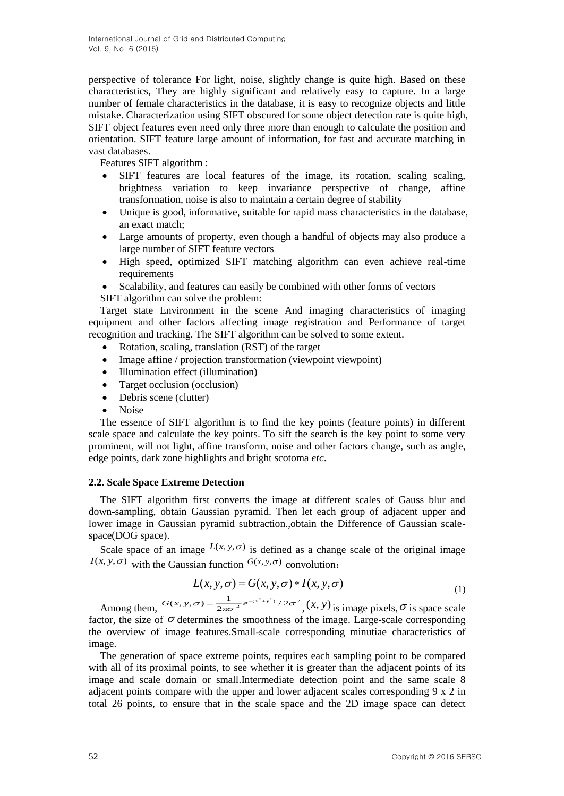perspective of tolerance For light, noise, slightly change is quite high. Based on these characteristics, They are highly significant and relatively easy to capture. In a large number of female characteristics in the database, it is easy to recognize objects and little mistake. Characterization using SIFT obscured for some object detection rate is quite high, SIFT object features even need only three more than enough to calculate the position and orientation. SIFT feature large amount of information, for fast and accurate matching in vast databases.

Features SIFT algorithm :

- SIFT features are local features of the image, its rotation, scaling scaling, brightness variation to keep invariance perspective of change, affine transformation, noise is also to maintain a certain degree of stability
- Unique is good, informative, suitable for rapid mass characteristics in the database, an exact match;
- Large amounts of property, even though a handful of objects may also produce a large number of SIFT feature vectors
- High speed, optimized SIFT matching algorithm can even achieve real-time requirements
- Scalability, and features can easily be combined with other forms of vectors

SIFT algorithm can solve the problem:

Target state Environment in the scene And imaging characteristics of imaging equipment and other factors affecting image registration and Performance of target recognition and tracking. The SIFT algorithm can be solved to some extent.

- Rotation, scaling, translation (RST) of the target
- Image affine / projection transformation (viewpoint viewpoint)
- Illumination effect (illumination)
- Target occlusion (occlusion)
- Debris scene (clutter)
- Noise

The essence of SIFT algorithm is to find the key points (feature points) in different scale space and calculate the key points. To sift the search is the key point to some very prominent, will not light, affine transform, noise and other factors change, such as angle, edge points, dark zone highlights and bright scotoma *etc*.

### **2.2. Scale Space Extreme Detection**

The SIFT algorithm first converts the image at different scales of Gauss blur and down-sampling, obtain Gaussian pyramid. Then let each group of adjacent upper and lower image in Gaussian pyramid subtraction.,obtain the Difference of Gaussian scalespace(DOG space).

Scale space of an image  $L(x, y, \sigma)$  is defined as a change scale of the original image  $I(x, y, \sigma)$  with the Gaussian function  $G(x, y, \sigma)$  convolution:

$$
L(x, y, \sigma) = G(x, y, \sigma) * I(x, y, \sigma)
$$
\n<sup>(1)</sup>

Among them,  $G(x, y, \sigma) = \frac{1}{2\pi\sigma^2} e^{-(x^2 + y^2)}/2\sigma^2$  $G(x, y, \sigma) = \frac{1}{2\pi\sigma^2} e^{-(x^2+y^2)}/2\sigma^2$ ,  $(x, y)$  is image pixels,  $\sigma$  is space scale factor, the size of  $\sigma$  determines the smoothness of the image. Large-scale corresponding the overview of image features.Small-scale corresponding minutiae characteristics of image.

The generation of space extreme points, requires each sampling point to be compared with all of its proximal points, to see whether it is greater than the adjacent points of its image and scale domain or small.Intermediate detection point and the same scale 8 adjacent points compare with the upper and lower adjacent scales corresponding 9 x 2 in total 26 points, to ensure that in the scale space and the 2D image space can detect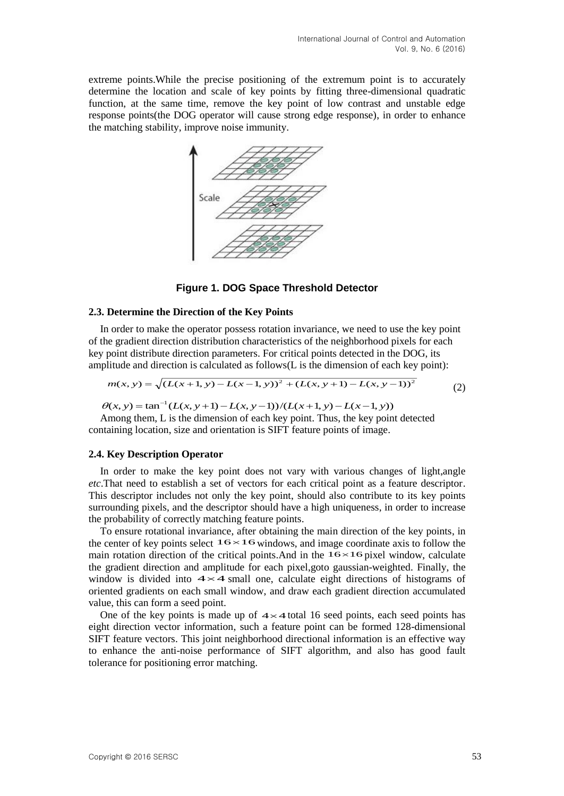extreme points.While the precise positioning of the extremum point is to accurately determine the location and scale of key points by fitting three-dimensional quadratic function, at the same time, remove the key point of low contrast and unstable edge response points(the DOG operator will cause strong edge response), in order to enhance the matching stability, improve noise immunity.



**Figure 1. DOG Space Threshold Detector**

### **2.3. Determine the Direction of the Key Points**

In order to make the operator possess rotation invariance, we need to use the key point of the gradient direction distribution characteristics of the neighborhood pixels for each key point distribute direction parameters. For critical points detected in the DOG, its amplitude and direction is calculated as follows(L is the dimension of each key point):

$$
m(x, y) = \sqrt{(L(x+1, y) - L(x-1, y))^{2} + (L(x, y+1) - L(x, y-1))^{2}}
$$
\n(2)

 $\theta(x, y) = \tan^{-1}(L(x, y+1) - L(x, y-1))/(L(x+1, y) - L(x-1, y))$ 

Among them, L is the dimension of each key point. Thus, the key point detected containing location, size and orientation is SIFT feature points of image.

### **2.4. Key Description Operator**

In order to make the key point does not vary with various changes of light,angle *etc*.That need to establish a set of vectors for each critical point as a feature descriptor. This descriptor includes not only the key point, should also contribute to its key points surrounding pixels, and the descriptor should have a high uniqueness, in order to increase the probability of correctly matching feature points.

To ensure rotational invariance, after obtaining the main direction of the key points, in the center of key points select  $16 \times 16$  windows, and image coordinate axis to follow the main rotation direction of the critical points.And in the  $16\times16$  pixel window, calculate the gradient direction and amplitude for each pixel,goto gaussian-weighted. Finally, the the gradient direction and amphitude for each pixer, goto gaussian-weighted. This pay window is divided into  $4 \times 4$  small one, calculate eight directions of histograms of oriented gradients on each small window, and draw each gradient direction accumulated value, this can form a seed point.

One of the key points is made up of  $4 \times 4$  total 16 seed points, each seed points has eight direction vector information, such a feature point can be formed 128-dimensional SIFT feature vectors. This joint neighborhood directional information is an effective way to enhance the anti-noise performance of SIFT algorithm, and also has good fault tolerance for positioning error matching.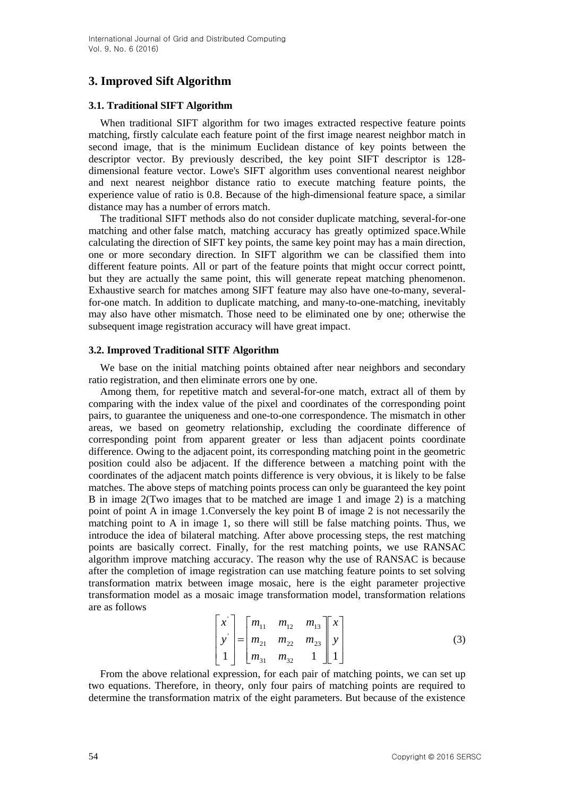## **3. Improved Sift Algorithm**

### **3.1. Traditional SIFT Algorithm**

When traditional SIFT algorithm for two images extracted respective feature points matching, firstly calculate each feature point of the first image nearest neighbor match in second image, that is the minimum Euclidean distance of key points between the descriptor vector. By previously described, the key point SIFT descriptor is 128 dimensional feature vector. Lowe's SIFT algorithm uses conventional nearest neighbor and next nearest neighbor distance ratio to execute matching feature points, the experience value of ratio is 0.8. Because of the high-dimensional feature space, a similar distance may has a number of errors match.

The traditional SIFT methods also do not consider duplicate matching, several-for-one matching and other false match, matching accuracy has greatly optimized space.While calculating the direction of SIFT key points, the same key point may has a main direction, one or more secondary direction. In SIFT algorithm we can be classified them into different feature points. All or part of the feature points that might occur correct pointt, but they are actually the same point, this will generate repeat matching phenomenon. Exhaustive search for matches among SIFT feature may also have one-to-many, severalfor-one match. In addition to duplicate matching, and many-to-one-matching, inevitably may also have other mismatch. Those need to be eliminated one by one; otherwise the subsequent image registration accuracy will have great impact.

#### **3.2. Improved Traditional SITF Algorithm**

We base on the initial matching points obtained after near neighbors and secondary ratio registration, and then eliminate errors one by one.

Among them, for repetitive match and several-for-one match, extract all of them by comparing with the index value of the pixel and coordinates of the corresponding point pairs, to guarantee the uniqueness and one-to-one correspondence. The mismatch in other areas, we based on geometry relationship, excluding the coordinate difference of corresponding point from apparent greater or less than adjacent points coordinate difference. Owing to the adjacent point, its corresponding matching point in the geometric position could also be adjacent. If the difference between a matching point with the coordinates of the adjacent match points difference is very obvious, it is likely to be false matches. The above steps of matching points process can only be guaranteed the key point B in image 2(Two images that to be matched are image 1 and image 2) is a matching point of point A in image 1.Conversely the key point B of image 2 is not necessarily the matching point to A in image 1, so there will still be false matching points. Thus, we introduce the idea of bilateral matching. After above processing steps, the rest matching points are basically correct. Finally, for the rest matching points, we use RANSAC algorithm improve matching accuracy. The reason why the use of RANSAC is because after the completion of image registration can use matching feature points to set solving transformation matrix between image mosaic, here is the eight parameter projective transformation model as a mosaic image transformation model, transformation relations are as follows

$$
\begin{bmatrix} x \\ y \\ 1 \end{bmatrix} = \begin{bmatrix} m_{11} & m_{12} & m_{13} \\ m_{21} & m_{22} & m_{23} \\ m_{31} & m_{32} & 1 \end{bmatrix} \begin{bmatrix} x \\ y \\ 1 \end{bmatrix}
$$
 (3)

From the above relational expression, for each pair of matching points, we can set up two equations. Therefore, in theory, only four pairs of matching points are required to determine the transformation matrix of the eight parameters. But because of the existence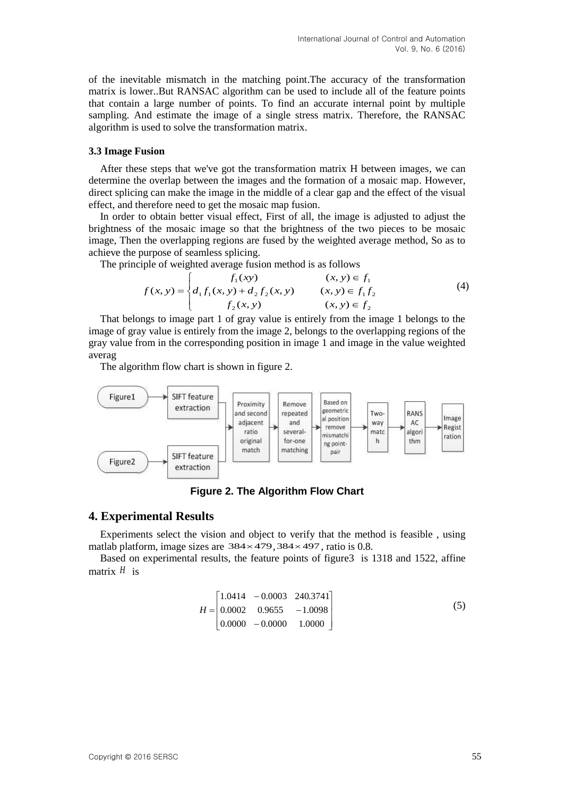of the inevitable mismatch in the matching point.The accuracy of the transformation matrix is lower..But RANSAC algorithm can be used to include all of the feature points that contain a large number of points. To find an accurate internal point by multiple sampling. And estimate the image of a single stress matrix. Therefore, the RANSAC algorithm is used to solve the transformation matrix.

### **3.3 Image Fusion**

After these steps that we've got the transformation matrix H between images, we can determine the overlap between the images and the formation of a mosaic map. However, direct splicing can make the image in the middle of a clear gap and the effect of the visual effect, and therefore need to get the mosaic map fusion.

In order to obtain better visual effect, First of all, the image is adjusted to adjust the brightness of the mosaic image so that the brightness of the two pieces to be mosaic image, Then the overlapping regions are fused by the weighted average method, So as to achieve the purpose of seamless splicing.

The principle of weighted average fusion method is as follows

$$
f(x, y) = \begin{cases} f_1(xy) & (x, y) \in f_1 \\ d_1 f_1(x, y) + d_2 f_2(x, y) & (x, y) \in f_1 f_2 \\ f_2(x, y) & (x, y) \in f_2 \end{cases}
$$
(4)

That belongs to image part 1 of gray value is entirely from the image 1 belongs to the image of gray value is entirely from the image 2, belongs to the overlapping regions of the gray value from in the corresponding position in image 1 and image in the value weighted averag

The algorithm flow chart is shown in figure 2.



**Figure 2. The Algorithm Flow Chart**

## **4. Experimental Results**

Experiments select the vision and object to verify that the method is feasible , using matlab platform, image sizes are  $384 \times 479$ ,  $384 \times 497$ , ratio is 0.8.

Based on experimental results, the feature points of figure3 is 1318 and 1522, affine matrix *<sup>H</sup>* is

$$
H = \begin{bmatrix} 1.0414 & -0.0003 & 240.3741 \\ 0.0002 & 0.9655 & -1.0098 \\ 0.0000 & -0.0000 & 1.0000 \end{bmatrix}
$$
 (5)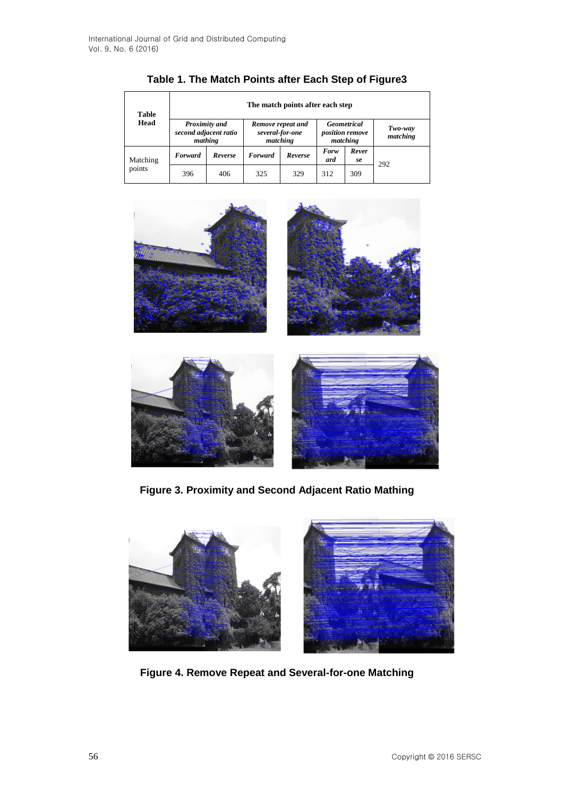| <b>Table</b><br>Head | The match points after each step                         |         |                                                  |         |                                                   |             |                     |
|----------------------|----------------------------------------------------------|---------|--------------------------------------------------|---------|---------------------------------------------------|-------------|---------------------|
|                      | <b>Proximity and</b><br>second adjacent ratio<br>mathing |         | Remove repeat and<br>several-for-one<br>matching |         | Geometrical<br><i>position remove</i><br>matching |             | Two-way<br>matching |
| Matching<br>points   | Forward                                                  | Reverse | Forward                                          | Reverse | Forw<br>ard                                       | Rever<br>se | 292                 |
|                      | 396                                                      | 406     | 325                                              | 329     | 312                                               | 309         |                     |

**Table 1. The Match Points after Each Step of Figure3**



**Figure 3. Proximity and Second Adjacent Ratio Mathing**



**Figure 4. Remove Repeat and Several-for-one Matching**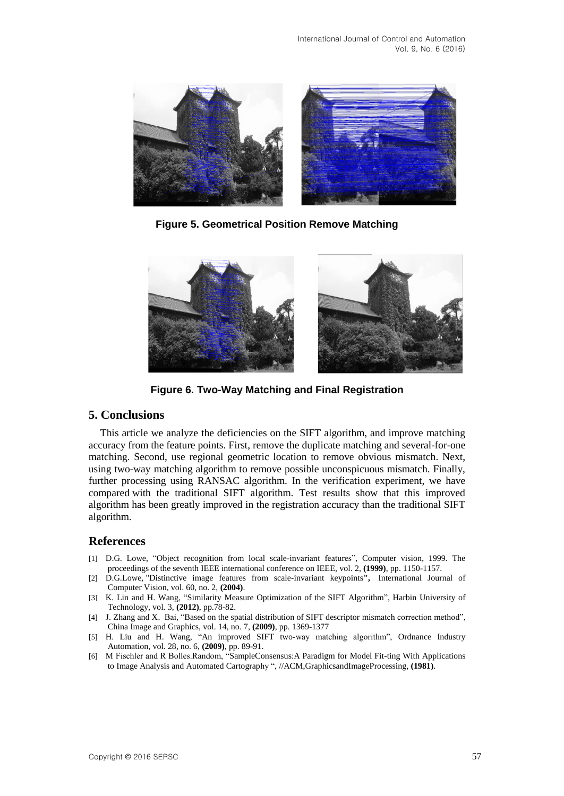

**Figure 5. Geometrical Position Remove Matching**



**Figure 6. Two-Way Matching and Final Registration**

## **5. Conclusions**

This article we analyze the deficiencies on the SIFT algorithm, and improve matching accuracy from the feature points. First, remove the duplicate matching and several-for-one matching. Second, use regional geometric location to remove obvious mismatch. Next, using two-way matching algorithm to remove possible unconspicuous mismatch. Finally, further processing using RANSAC algorithm. In the verification experiment, we have compared with the traditional SIFT algorithm. Test results show that this improved algorithm has been greatly improved in the registration accuracy than the traditional SIFT algorithm.

## **References**

- [1] D.G. Lowe, "Object recognition from local scale-invariant features", Computer vision, 1999. The proceedings of the seventh IEEE international conference on IEEE, vol. 2, **(1999)**, pp. 1150-1157.
- [2] D.G.Lowe, "Distinctive image features from scale-invariant keypoints**",** International Journal of Computer Vision, vol. 60, no. 2, **(2004)**.
- [3] K. Lin and H. Wang, "Similarity Measure Optimization of the SIFT Algorithm", Harbin University of Technology, vol. 3, **(2012)**, pp.78-82.
- [4] J. Zhang and X. Bai, "Based on the spatial distribution of SIFT descriptor mismatch correction method", China Image and Graphics, vol. 14, no. 7, **(2009)**, pp. 1369-1377
- [5] H. Liu and H. Wang, "An improved SIFT two-way matching algorithm", Ordnance Industry Automation, vol. 28, no. 6, **(2009)**, pp. 89-91.
- [6] M Fischler and R Bolles.Random, "SampleConsensus:A Paradigm for Model Fit-ting With Applications to Image Analysis and Automated Cartography ", //ACM,GraphicsandImageProcessing, **(1981)**.